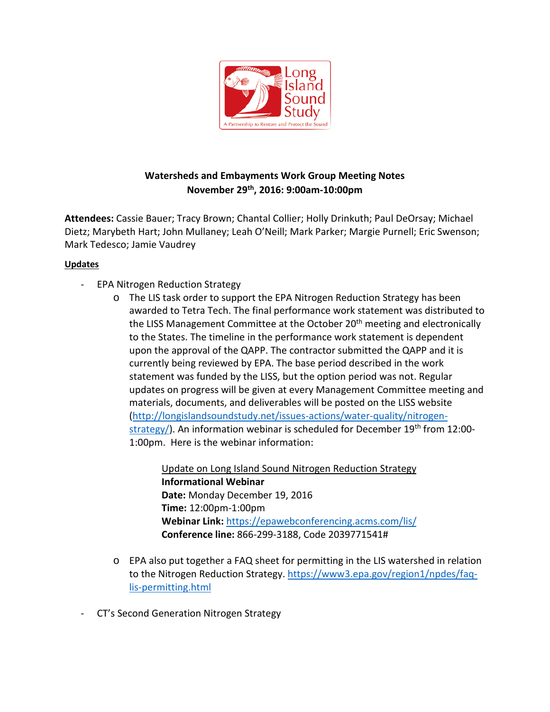

## **Watersheds and Embayments Work Group Meeting Notes November 29th, 2016: 9:00am-10:00pm**

**Attendees:** Cassie Bauer; Tracy Brown; Chantal Collier; Holly Drinkuth; Paul DeOrsay; Michael Dietz; Marybeth Hart; John Mullaney; Leah O'Neill; Mark Parker; Margie Purnell; Eric Swenson; Mark Tedesco; Jamie Vaudrey

## **Updates**

- EPA Nitrogen Reduction Strategy
	- o The LIS task order to support the EPA Nitrogen Reduction Strategy has been awarded to Tetra Tech. The final performance work statement was distributed to the LISS Management Committee at the October 20<sup>th</sup> meeting and electronically to the States. The timeline in the performance work statement is dependent upon the approval of the QAPP. The contractor submitted the QAPP and it is currently being reviewed by EPA. The base period described in the work statement was funded by the LISS, but the option period was not. Regular updates on progress will be given at every Management Committee meeting and materials, documents, and deliverables will be posted on the LISS website [\(http://longislandsoundstudy.net/issues-actions/water-quality/nitrogen](http://longislandsoundstudy.net/issues-actions/water-quality/nitrogen-strategy/)[strategy/\)](http://longislandsoundstudy.net/issues-actions/water-quality/nitrogen-strategy/). An information webinar is scheduled for December 19<sup>th</sup> from 12:00-1:00pm. Here is the webinar information:

Update on Long Island Sound Nitrogen Reduction Strategy **Informational Webinar Date:** Monday December 19, 2016 **Time:** 12:00pm-1:00pm **Webinar Link:** <https://epawebconferencing.acms.com/lis/> **Conference line:** 866-299-3188, Code 2039771541#

- o EPA also put together a FAQ sheet for permitting in the LIS watershed in relation to the Nitrogen Reduction Strategy. [https://www3.epa.gov/region1/npdes/faq](https://www3.epa.gov/region1/npdes/faq-lis-permitting.html)[lis-permitting.html](https://www3.epa.gov/region1/npdes/faq-lis-permitting.html)
- CT's Second Generation Nitrogen Strategy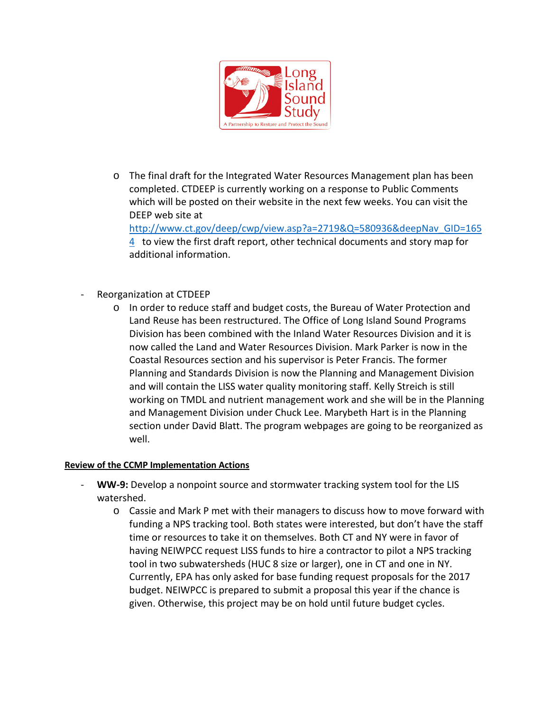

o The final draft for the Integrated Water Resources Management plan has been completed. CTDEEP is currently working on a response to Public Comments which will be posted on their website in the next few weeks. You can visit the DEEP web site at

[http://www.ct.gov/deep/cwp/view.asp?a=2719&Q=580936&deepNav\\_GID=165](http://www.ct.gov/deep/cwp/view.asp?a=2719&Q=580936&deepNav_GID=1654) [4](http://www.ct.gov/deep/cwp/view.asp?a=2719&Q=580936&deepNav_GID=1654) to view the first draft report, other technical documents and story map for additional information.

- Reorganization at CTDEEP
	- o In order to reduce staff and budget costs, the Bureau of Water Protection and Land Reuse has been restructured. The Office of Long Island Sound Programs Division has been combined with the Inland Water Resources Division and it is now called the Land and Water Resources Division. Mark Parker is now in the Coastal Resources section and his supervisor is Peter Francis. The former Planning and Standards Division is now the Planning and Management Division and will contain the LISS water quality monitoring staff. Kelly Streich is still working on TMDL and nutrient management work and she will be in the Planning and Management Division under Chuck Lee. Marybeth Hart is in the Planning section under David Blatt. The program webpages are going to be reorganized as well.

## **Review of the CCMP Implementation Actions**

- WW-9: Develop a nonpoint source and stormwater tracking system tool for the LIS watershed.
	- o Cassie and Mark P met with their managers to discuss how to move forward with funding a NPS tracking tool. Both states were interested, but don't have the staff time or resources to take it on themselves. Both CT and NY were in favor of having NEIWPCC request LISS funds to hire a contractor to pilot a NPS tracking tool in two subwatersheds (HUC 8 size or larger), one in CT and one in NY. Currently, EPA has only asked for base funding request proposals for the 2017 budget. NEIWPCC is prepared to submit a proposal this year if the chance is given. Otherwise, this project may be on hold until future budget cycles.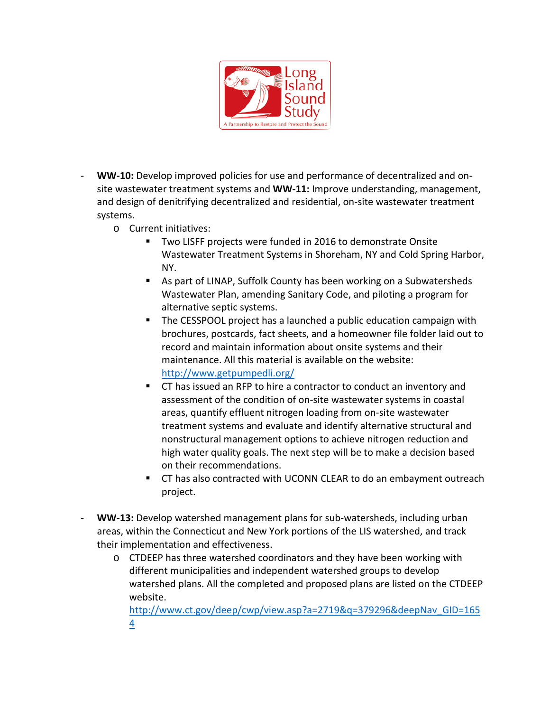

- **WW-10:** Develop improved policies for use and performance of decentralized and onsite wastewater treatment systems and **WW-11:** Improve understanding, management, and design of denitrifying decentralized and residential, on-site wastewater treatment systems.
	- o Current initiatives:
		- Two LISFF projects were funded in 2016 to demonstrate Onsite Wastewater Treatment Systems in Shoreham, NY and Cold Spring Harbor, NY.
		- As part of LINAP, Suffolk County has been working on a Subwatersheds Wastewater Plan, amending Sanitary Code, and piloting a program for alternative septic systems.
		- The CESSPOOL project has a launched a public education campaign with brochures, postcards, fact sheets, and a homeowner file folder laid out to record and maintain information about onsite systems and their maintenance. All this material is available on the website: <http://www.getpumpedli.org/>
		- CT has issued an RFP to hire a contractor to conduct an inventory and assessment of the condition of on-site wastewater systems in coastal areas, quantify effluent nitrogen loading from on-site wastewater treatment systems and evaluate and identify alternative structural and nonstructural management options to achieve nitrogen reduction and high water quality goals. The next step will be to make a decision based on their recommendations.
		- **THE CT has also contracted with UCONN CLEAR to do an embayment outreach** project.
- **WW-13:** Develop watershed management plans for sub-watersheds, including urban areas, within the Connecticut and New York portions of the LIS watershed, and track their implementation and effectiveness.
	- o CTDEEP has three watershed coordinators and they have been working with different municipalities and independent watershed groups to develop watershed plans. All the completed and proposed plans are listed on the CTDEEP website.

[http://www.ct.gov/deep/cwp/view.asp?a=2719&q=379296&deepNav\\_GID=165](http://www.ct.gov/deep/cwp/view.asp?a=2719&q=379296&deepNav_GID=1654) [4](http://www.ct.gov/deep/cwp/view.asp?a=2719&q=379296&deepNav_GID=1654)